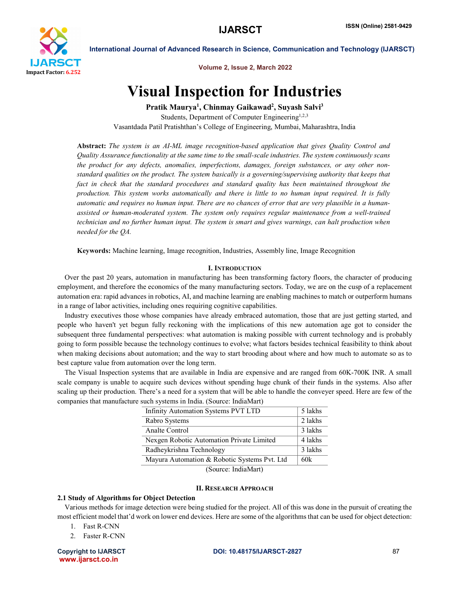

International Journal of Advanced Research in Science, Communication and Technology (IJARSCT)

Volume 2, Issue 2, March 2022

# Visual Inspection for Industries

Pratik Maurya<sup>1</sup>, Chinmay Gaikawad<sup>2</sup>, Suyash Salvi<sup>3</sup> Students, Department of Computer Engineering<sup>1,2,3</sup> Vasantdada Patil Pratishthan's College of Engineering, Mumbai, Maharashtra, India

Abstract: *The system is an AI-ML image recognition-based application that gives Quality Control and Quality Assurance functionality at the same time to the small-scale industries. The system continuously scans the product for any defects, anomalies, imperfections, damages, foreign substances, or any other nonstandard qualities on the product. The system basically is a governing/supervising authority that keeps that*  fact in check that the standard procedures and standard quality has been maintained throughout the *production. This system works automatically and there is little to no human input required. It is fully automatic and requires no human input. There are no chances of error that are very plausible in a humanassisted or human-moderated system. The system only requires regular maintenance from a well-trained technician and no further human input. The system is smart and gives warnings, can halt production when needed for the QA.*

Keywords: Machine learning, Image recognition, Industries, Assembly line, Image Recognition

# I. INTRODUCTION

 Over the past 20 years, automation in manufacturing has been transforming factory floors, the character of producing employment, and therefore the economics of the many manufacturing sectors. Today, we are on the cusp of a replacement automation era: rapid advances in robotics, AI, and machine learning are enabling machines to match or outperform humans in a range of labor activities, including ones requiring cognitive capabilities.

 Industry executives those whose companies have already embraced automation, those that are just getting started, and people who haven't yet begun fully reckoning with the implications of this new automation age got to consider the subsequent three fundamental perspectives: what automation is making possible with current technology and is probably going to form possible because the technology continues to evolve; what factors besides technical feasibility to think about when making decisions about automation; and the way to start brooding about where and how much to automate so as to best capture value from automation over the long term.

 The Visual Inspection systems that are available in India are expensive and are ranged from 60K-700K INR. A small scale company is unable to acquire such devices without spending huge chunk of their funds in the systems. Also after scaling up their production. There's a need for a system that will be able to handle the conveyer speed. Here are few of the companies that manufacture such systems in India. (Source: IndiaMart)

| Infinity Automation Systems PVT LTD          | 5 lakhs |
|----------------------------------------------|---------|
| Rabro Systems                                | 2 lakhs |
| Analte Control                               | 3 lakhs |
| Nexgen Robotic Automation Private Limited    | 4 lakhs |
| Radheykrishna Technology                     | 3 lakhs |
| Mayura Automation & Robotic Systems Pvt. Ltd | 60k     |
| $\sim$ $\sim$ $\sim$ $\sim$ $\sim$ $\sim$    |         |

(Source: IndiaMart)

# II. RESEARCH APPROACH

# 2.1 Study of Algorithms for Object Detection

 Various methods for image detection were being studied for the project. All of this was done in the pursuit of creating the most efficient model that'd work on lower end devices. Here are some of the algorithms that can be used for object detection:

- 1. Fast R-CNN
- 2. Faster R-CNN

www.ijarsct.co.in

### Copyright to IJARSCT and the COLOGON CODI: 10.48175/IJARSCT-2827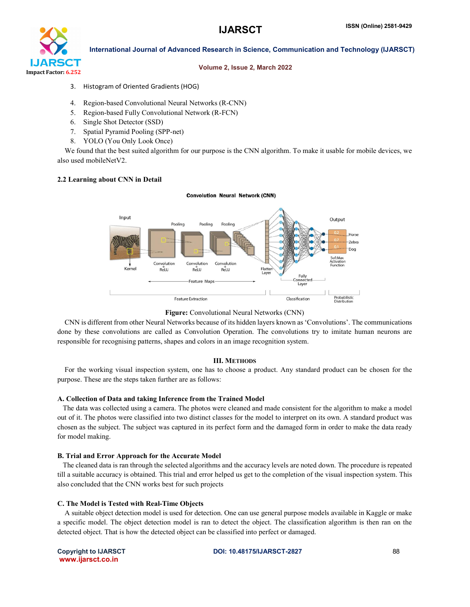

# International Journal of Advanced Research in Science, Communication and Technology (IJARSCT)

#### Volume 2, Issue 2, March 2022

- 3. Histogram of Oriented Gradients (HOG)
- 4. Region-based Convolutional Neural Networks (R-CNN)
- 5. Region-based Fully Convolutional Network (R-FCN)
- 6. Single Shot Detector (SSD)
- 7. Spatial Pyramid Pooling (SPP-net)
- 8. YOLO (You Only Look Once)

We found that the best suited algorithm for our purpose is the CNN algorithm. To make it usable for mobile devices, we also used mobileNetV2.

### 2.2 Learning about CNN in Detail

#### **Convolution Neural Network (CNN)**



# Figure: Convolutional Neural Networks (CNN)

 CNN is different from other Neural Networks because of its hidden layers known as 'Convolutions'. The communications done by these convolutions are called as Convolution Operation. The convolutions try to imitate human neurons are responsible for recognising patterns, shapes and colors in an image recognition system.

### III. METHODS

 For the working visual inspection system, one has to choose a product. Any standard product can be chosen for the purpose. These are the steps taken further are as follows:

#### A. Collection of Data and taking Inference from the Trained Model

 The data was collected using a camera. The photos were cleaned and made consistent for the algorithm to make a model out of it. The photos were classified into two distinct classes for the model to interpret on its own. A standard product was chosen as the subject. The subject was captured in its perfect form and the damaged form in order to make the data ready for model making.

# B. Trial and Error Approach for the Accurate Model

 The cleaned data is ran through the selected algorithms and the accuracy levels are noted down. The procedure is repeated till a suitable accuracy is obtained. This trial and error helped us get to the completion of the visual inspection system. This also concluded that the CNN works best for such projects

#### C. The Model is Tested with Real-Time Objects

 A suitable object detection model is used for detection. One can use general purpose models available in Kaggle or make a specific model. The object detection model is ran to detect the object. The classification algorithm is then ran on the detected object. That is how the detected object can be classified into perfect or damaged.

www.ijarsct.co.in

# Copyright to IJARSCT and the COLOGON CODI: 10.48175/IJARSCT-2827